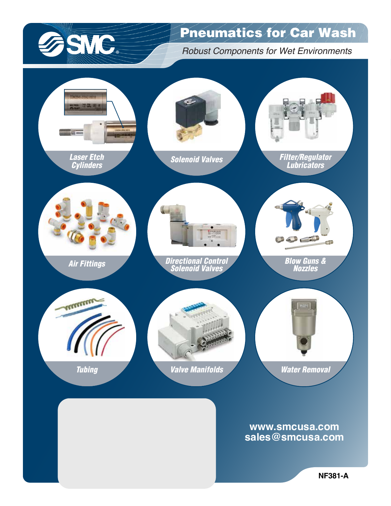

## Pneumatics for Car Wash

*Robust Components for Wet Environments*